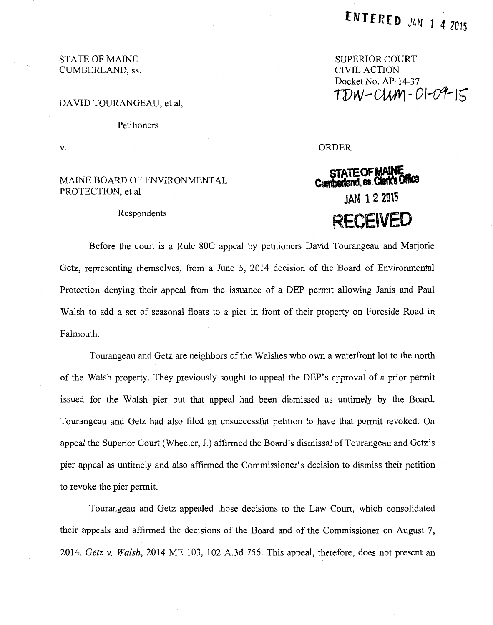# SUPERIOR COURT CIVIL ACTION Docket No. AP-14-37  $TDW-CUMY-01-09-15$

ORDER

# **STATE OF MAINE<br>Cumberland, ss, Cierk's Office JAN 12 2015 RECElVED**

## STATE OF MAINE CUMBERLAND, ss.

#### DAVID TOURANGEAU, et al,

Petitioners

v.

## MAINE BOARD OF ENVIRONMENTAL PROTECTION, et al

#### Respondents

Before the court is a Rule SOC appeal by petitioners David Tourangeau and Marjorie Getz, representing themselves, from a June 5, 2014 decision of the Board of Environmental Protection denying their appeal from the issuance of a DEP permit allowing Janis and Paul Walsh to add a set of seasonal floats to a pier in front of their property on Foreside Road in Falmouth.

Tourangeau and Getz are neighbors of the Walshes who own a waterfront lot to the north of the Walsh property. They previously sought to appeal the DEP's approval of a prior permit issued for the Walsh pier but that appeal had been dismissed as untimely by the Board. Tourangeau and Getz had also filed an unsuccessful petition to have that permit revoked. On appeal the Superior Court (Wheeler, J.) affirmed the Board's dismissal of Tourangeau and Getz's pier appeal as untimely and also affirmed the Commissioner's decision to dismiss their petition to revoke the pier permit.

Tourangeau and Getz appealed those decisions to the Law Court, which consolidated their appeals and affirmed the decisions of the Board and of the Commissioner on August 7, 2014. *Getz v. Walsh,* 2014 ME 103, 102 A.3d 756. This appeal, therefore, does not present an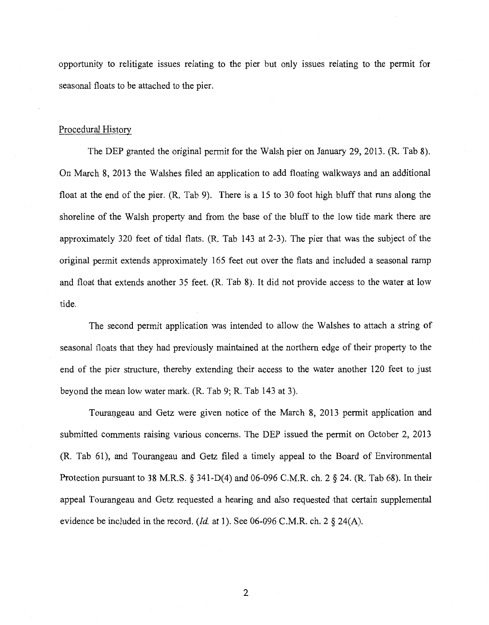opportunity to relitigate issues relating to the pier but only issues relating to the permit for seasonal floats to be attached to the pier.

#### Procedural History

The DEP granted the original permit for the Walsh pier on January 29, 2013. (R. Tab 8). On March 8, 2013 the Walshes filed an application to add floating walkways and an additional float at the end of the pier. (R. Tab 9). There is a 15 to 30 foot high bluff that runs along the shoreline of the Walsh property and from the base of the bluff to the low tide mark there are approximately 320 feet of tidal flats. (R. Tab 143 at 2-3). The pier that was the subject of the original permit extends approximately 165 feet out over the flats and included a seasonal ramp and float that extends another 35 feet. (R. Tab 8). It did not provide access to the water at low tide.

The second permit application was intended to allow the Walshes to attach a string of seasonal floats that they had previously maintained at the northern edge of their property to the end of the pier structure, thereby extending their access to the water another 120 feet to just beyond the mean low water mark. (R. Tab 9; R. Tab 143 at 3).

Tourangeau and Getz were given notice of the March 8, 2013 permit application and submitted comments raising various concerns. The DEP issued the permit on October 2, 2013 (R. Tab 61 ), and Tourangeau and Getz filed a timely appeal to the Board of Environmental Protection pursuant to 38 M.R.S. § 341-D(4) and 06-096 C.M.R. ch. 2 § 24. (R. Tab 68). In their appeal Tourangeau and Getz requested a hearing and also requested that certain supplemental evidence be included in the record. *(!d.* at 1). See 06-096 C.M.R. ch. 2 § 24(A).

2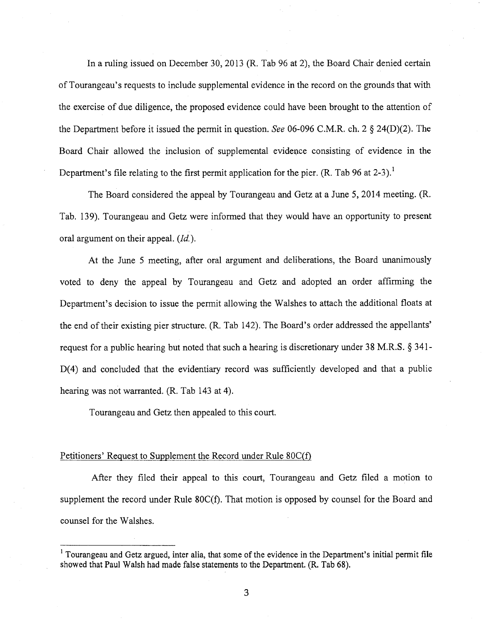In a ruling issued on December 30, 2013 (R. Tab 96 at 2), the Board Chair denied certain of Tourangeau's requests to include supplemental evidence in the record on the grounds that with the exercise of due diligence, the proposed evidence could have been brought to the attention of the Department before it issued the permit in question. *See* 06-096 C.M.R. ch. 2 § 24(D)(2). The Board Chair allowed the inclusion of supplemental evidence consisting of evidence in the Department's file relating to the first permit application for the pier. (R. Tab 96 at  $2-3$ ).<sup>1</sup>

The Board considered the appeal by Tourangeau and Getz at a June 5, 2014 meeting. (R. Tab. 139). Tourangeau and Getz were informed that they would have an opportunity to present oral argument on their appeal. *(Id.)*.

At the June 5 meeting, after oral argument and deliberations, the Board unanimously voted to deny the appeal by Tourangeau and Getz and adopted an order affirming the Department's decision to issue the permit allowing the Walshes to attach the additional floats at the end of their existing pier structure. (R. Tab 142). The Board's order addressed the appellants' request for a public hearing but noted that such a hearing is discretionary under 38 M.R.S. § 341-  $D(4)$  and concluded that the evidentiary record was sufficiently developed and that a public hearing was not warranted. (R. Tab 143 at 4).

Tourangeau and Getz then appealed to this court.

#### Petitioners' Request to Supplement the Record under Rule 80C(f)

After they filed their appeal to this court, Tourangeau and Getz filed a motion to supplement the record under Rule 80C(f). That motion is opposed by counsel for the Board and counsel for the Walshes.

<sup>&</sup>lt;sup>1</sup> Tourangeau and Getz argued, inter alia, that some of the evidence in the Department's initial permit file showed that Paul Walsh had made false statements to the Department. (R. Tab 68).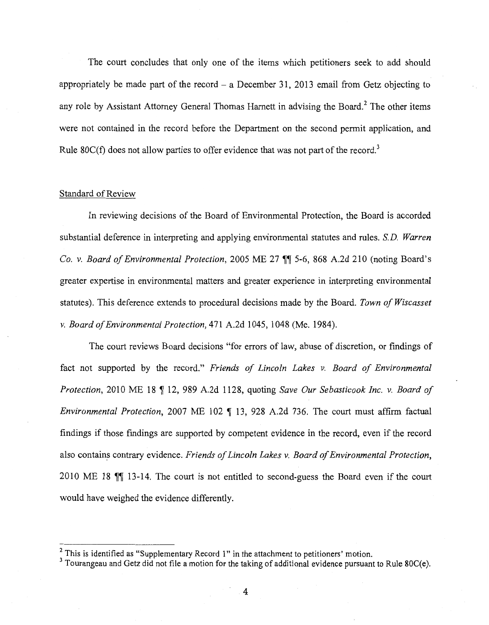The court concludes that only one of the items which petitioners seek to add should appropriately be made part of the record  $-$  a December 31, 2013 email from Getz objecting to any role by Assistant Attorney General Thomas Harnett in advising the Board.<sup>2</sup> The other items were not contained in the record before the Department on the second permit application, and Rule 80 $C(f)$  does not allow parties to offer evidence that was not part of the record.<sup>3</sup>

# Standard of Review

In reviewing decisions of the Board of Environmental Protection, the Board is accorded substantial deference in interpreting and applying environmental statutes and rules. *S.D. Warren Co. v. Board of Environmental Protection, 2005 ME 27 <sup>1</sup> 5-6, 868 A.2d 210 (noting Board's* greater expertise in environmental matters and greater experience in interpreting environmental statutes). This deference extends to procedural decisions made by the Board. *Town of Wiscasset v. Board of Environmental Protection,* 471 A.2d 1045, 1048 (Me. 1984).

The court reviews Board decisions "for errors of law, abuse of discretion, or findings of fact not supported by the record." *Friends of Lincoln Lakes v. Board of Environmental Protection,* 2010 ME 18 ~ 12, 989 A.2d 1128, quoting *Save Our Sebasticook Inc. v. Board of Environmental Protection,* 2007 ME 102 ¶ 13, 928 A.2d 736. The court must affirm factual findings if those findings are supported by competent evidence in the record, even if the record also contains contrary evidence. *Friends of Lincoln Lakes v. Board of Environmental Protection*, 2010 ME 18  $\mathbb{N}$  13-14. The court is not entitled to second-guess the Board even if the court would have weighed the evidence differently.

 $2$  This is identified as "Supplementary Record 1" in the attachment to petitioners' motion.

 $3$  Tourangeau and Getz did not file a motion for the taking of additional evidence pursuant to Rule 80C(e).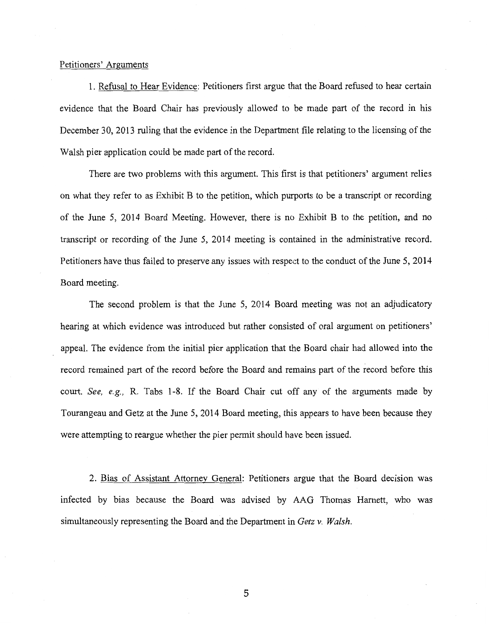#### Petitioners' Arguments

1. Refusal to Hear Evidence: Petitioners first argue that the Board refused to hear certain evidence that the Board Chair has previously allowed to be made part of the record in his December 30, 2013 ruling that the evidence in the Department file relating to the licensing of the Walsh pier application could be made part of the record.

There are two problems with this argument. This first is that petitioners' argument relies on what they refer to as Exhibit B to the petition, which purports to be a transcript or recording of the June 5, 2014 Board Meeting. However, there is no Exhibit B to the petition, and no transcript or recording of the June 5, 2014 meeting is contained in the administrative record. Petitioners have thus failed to preserve any issues with respect to the conduct of the June 5, 2014 Board meeting.

The second problem is that the June 5, 2014 Board meeting was not an adjudicatory hearing at which evidence was introduced but rather consisted of oral argument on petitioners' appeal. The evidence from the initial pier application that the Board chair had allowed into the record remained part of the record before the Board and remains part of the record before this court. *See, e.g.,* R. Tabs 1-8. If the Board Chair cut off any of the arguments made by Tourangeau and Getz at the June 5, 2014 Board meeting, this appears to have been because they were attempting to reargue whether the pier permit should have been issued.

2. Bias of Assistant Attorney General: Petitioners argue that the Board decision was infected by bias because the Board was advised by AAG Thomas Harnett, who was simultaneously representing the Board and the Department in *Getz v. Walsh.* 

5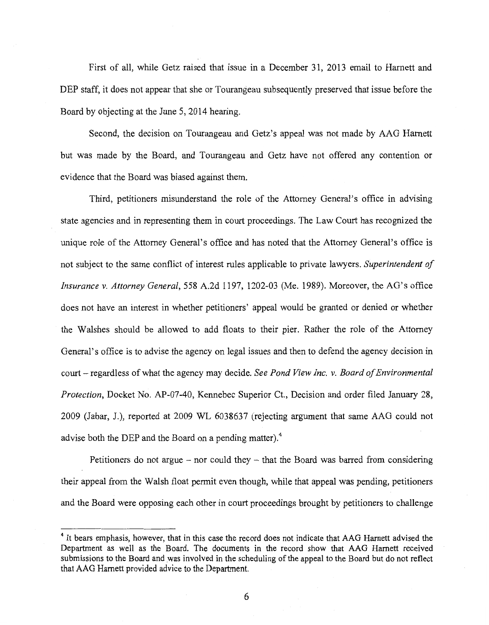First of all, while Getz raised that issue in a December 31, 2013 email to Harnett and DEP staff, it does not appear that she or Tourangeau subsequently preserved that issue before the Board by objecting at the June 5, 2014 hearing.

Second, the decision on Tourangeau and Getz's appeal was not made by AAG Harnett but was made by the Board, and Tourangeau and Getz have not offered any contention or evidence that the Board was biased against them.

Third, petitioners misunderstand the role of the Attorney General's office in advising state agencies and in representing them in court proceedings. The Law Court has recognized the unique role of the Attorney General's office and has noted that the Attorney General's office is not subject to the same conflict of interest rules applicable to private lawyers. *Superintendent of Insurance v. Attorney General,* 558 A.2d 1197, 1202-03 (Me. 1989). Moreover, the AG's office does not have an interest in whether petitioners' appeal would be granted or denied or whether the Walshes should be allowed to add floats to their pier. Rather the role of the Attorney General's office is to advise the agency on legal issues and then to defend the agency decision in court- regardless of what the agency may decide. *See Pond View Inc. v. Board of Environmental Protection,* Docket No. AP-07-40, Kennebec Superior Ct., Decision and order filed January 28, 2009 (Jabar, J.), reported at 2009 WL 6038637 (rejecting argument that same AAG could not advise both the DEP and the Board on a pending matter).<sup>4</sup>

Petitioners do not argue – nor could they – that the Board was barred from considering their appeal from the Walsh float permit even though, while that appeal was pending, petitioners and the Board were opposing each other in court proceedings brought by petitioners to challenge

<sup>&</sup>lt;sup>4</sup> It bears emphasis, however, that in this case the record does not indicate that AAG Harnett advised the Department as well as the Board. The documents in the record show that AAG Harnett received submissions to the Board and was involved in the scheduling of the appeal to the Board but do not reflect that AAG Harnett provided advice to the Department.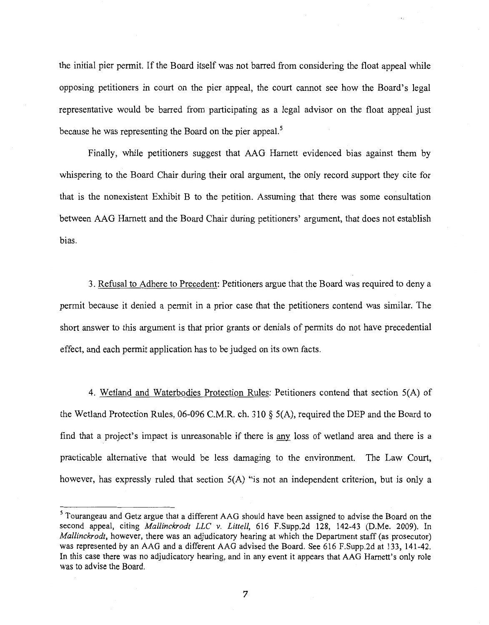the initial pier permit. If the Board itself was not barred from considering the float appeal while opposing petitioners in court on the pier appeal, the court cannot see how the Board's legal representative would be barred from participating as a legal advisor on the float appeal just because he was representing the Board on the pier appeal.<sup>5</sup>

Finally, while petitioners suggest that AAG Harnett evidenced bias against them by whispering to the Board Chair during their oral argument, the only record support they cite for that is the nonexistent Exhibit B to the petition. Assuming that there was some consultation between AAG Harnett and the Board Chair during petitioners' argument, that does not establish bias.

3. Refusal to Adhere to Precedent: Petitioners argue that the Board was required to deny a permit because it denied a permit in a prior case that the petitioners contend was similar. The short answer to this argument is that prior grants or denials of permits do not have precedential effect, and each permit application has to be judged on its own facts.

4. Wetland and Waterbodies Protection Rules: Petitioners contend that section 5(A) of the Wetland Protection Rules, 06-096 C.M.R. ch. 310 § 5(A), required the DEP and the Board to find that a project's impact is unreasonable if there is any loss of wetland area and there is a practicable alternative that would be less damaging to the environment. The Law Court, however, has expressly ruled that section 5(A) "is not an independent criterion, but is only a

<sup>5</sup> Tourangeau and Getz argue that a different AAG should have been assigned to advise the Board on the second appeal, citing *Mallinckrodt LLC* v. *Littell,* 616 F.Supp.2d 128, 142-43 (D.Me. 2009). In *Mallinckrodt*, however, there was an adjudicatory hearing at which the Department staff (as prosecutor) was represented by an AAG and a different AAG advised the Board. See 616 F.Supp.2d at 133, 141-42. In this case there was no adjudicatory hearing, and in any event it appears that AAG Harnett's only role was to advise the Board.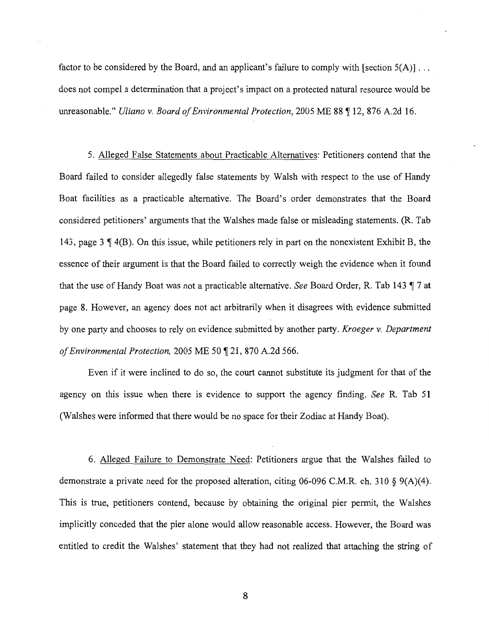factor to be considered by the Board, and an applicant's failure to comply with [section  $5(A)$ ]... does not compel a determination that a project's impact on a protected natural resource would be unreasonable." *Uliano v. Board of Environmental Protection*, 2005 ME 88 ¶ 12, 876 A.2d 16.

5. Alleged False Statements about Practicable Alternatives: Petitioners contend that the Board failed to consider allegedly false statements by Walsh with respect to the use of Handy Boat facilities as a practicable alternative. The Board's order demonstrates that the Board considered petitioners' arguments that the Walshes made false or misleading statements. (R. Tab 143, page 3  $\parallel$  4(B). On this issue, while petitioners rely in part on the nonexistent Exhibit B, the essence of their argument is that the Board failed to correctly weigh the evidence when it found that the use of Handy Boat was not a practicable alternative. *See* Board Order, R. Tab 143  $\P$  7 at page 8. However, an agency does not act arbitrarily when it disagrees with evidence submitted by one party and chooses to rely on evidence submitted by another party. *Kroeger v. Department of Environmental Protection,* 2005 ME 50 ~ 21, 870 A.2d 566.

Even if it were inclined to do so, the court cannot substitute its judgment for that of the agency on this issue when there is evidence to support the agency finding. *See* R. Tab 51 (Walshes were informed that there would be no space for their Zodiac at Handy Boat).

6. Alleged Failure to Demonstrate Need: Petitioners argue that the Walshes failed to demonstrate a private need for the proposed alteration, citing 06-096 C.M.R. ch. 310 § 9(A)(4). This is true, petitioners contend, because by obtaining the original pier permit, the Walshes implicitly conceded that the pier alone would allow reasonable access. However, the Board was entitled to credit the Walshes' statement that they had not realized that attaching the string of

8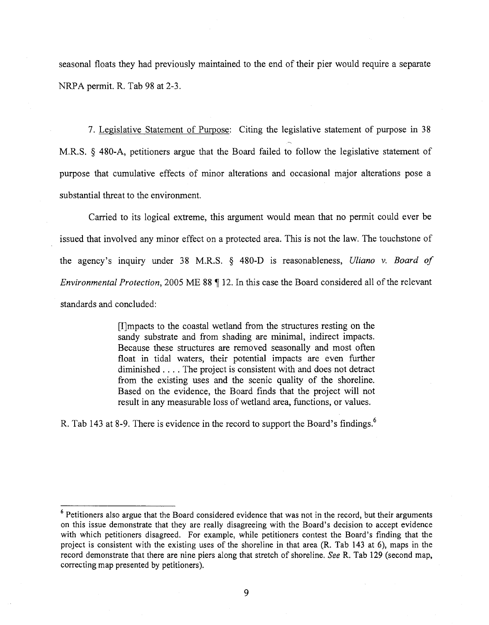seasonal floats they had previously maintained to the end of their pier would require a separate NRPA permit. R. Tab 98 at 2-3.

7. Legislative Statement of Purpose: Citing the legislative statement of purpose in 38 M.R.S. § 480-A, petitioners argue that the Board failed to follow the legislative statement of purpose that cumulative effects of minor alterations and occasional major alterations pose a substantial threat to the environment.

Carried to its logical extreme, this argument would mean that no permit could ever be issued that involved any minor effect on a protected area. This is not the law. The touchstone of the agency's inquiry under 38 M.R.S. § 480-D is reasonableness, *Uliano v. Board of Environmental Protection,* 2005 ME 88  $\P$  12. In this case the Board considered all of the relevant standards and concluded:

> [I]mpacts to the coastal wetland from the structures resting on the sandy substrate and from shading are minimal, indirect impacts. Because these structures are removed seasonally and most often float in tidal waters, their potential impacts are even further diminished . . . . The project is consistent with and does not detract from the existing uses and the scenic quality of the shoreline. Based on the evidence, the Board finds that the project will not result in any measurable loss of wetland area, functions, or values.

R. Tab 143 at 8-9. There is evidence in the record to support the Board's findings. <sup>6</sup>

<sup>&</sup>lt;sup>6</sup> Petitioners also argue that the Board considered evidence that was not in the record, but their arguments on this issue demonstrate that they are really disagreeing with the Board's decision to accept evidence with which petitioners disagreed. For example, while petitioners contest the Board's finding that the project is consistent with the existing uses of the shoreline in that area (R. Tab 143 at 6), maps in the record demonstrate that there are nine piers along that stretch of shoreline. *See* R. Tab 129 (second map, correcting map presented by petitioners).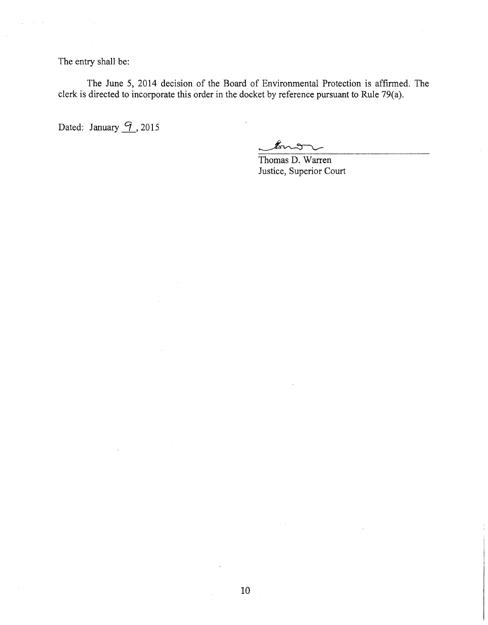The entry shall be:

The June 5, 2014 decision of the Board of Environmental Protection is affirmed. The clerk is directed to incorporate this order in the docket by reference pursuant to Rule 79(a).

Dated: January *[9]*, 2015

 $\mathbb{Z}_{n}$ 

Thomas D. Warren Justice, Superior Court